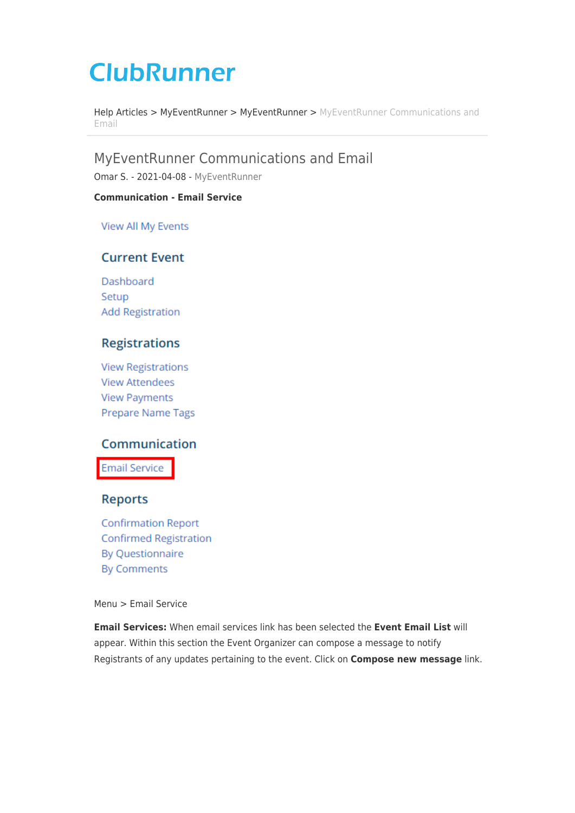# **ClubRunner**

[Help Articles](https://www.clubrunnersupport.com/kb) > [MyEventRunner](https://www.clubrunnersupport.com/kb/myeventrunner) > [MyEventRunner](https://www.clubrunnersupport.com/kb/myeventrunner-2) > [MyEventRunner Communications and](https://www.clubrunnersupport.com/kb/articles/myeventrunner-communications-and-email) [Email](https://www.clubrunnersupport.com/kb/articles/myeventrunner-communications-and-email)

MyEventRunner Communications and Email

Omar S. - 2021-04-08 - [MyEventRunner](https://www.clubrunnersupport.com/kb/myeventrunner-2)

#### **Communication - Email Service**

View All My Events

## **Current Event**

Dashboard Setup **Add Registration** 

## **Registrations**

**View Registrations View Attendees View Payments** Prepare Name Tags

### Communication

**Email Service** 

#### **Reports**

**Confirmation Report Confirmed Registration By Questionnaire By Comments** 

#### Menu > Email Service

**Email Services:** When email services link has been selected the **Event Email List** will appear. Within this section the Event Organizer can compose a message to notify Registrants of any updates pertaining to the event. Click on **Compose new message** link.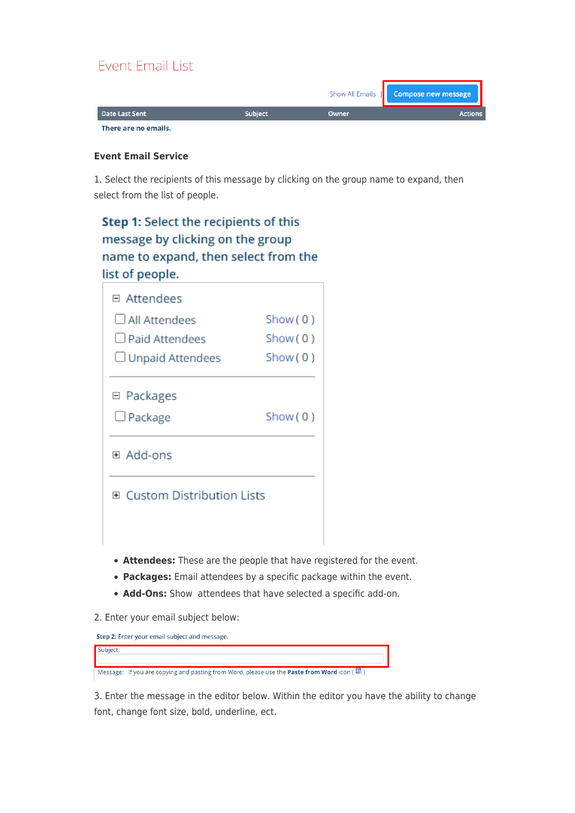# **Event Email List**

|                      |                |       | Show All Emails   Compose new message |
|----------------------|----------------|-------|---------------------------------------|
| Date Last Sent       | <b>Subject</b> | Owner | <b>Actions</b>                        |
| There are no emails. |                |       |                                       |

#### **Event Email Service**

1. Select the recipients of this message by clicking on the group name to expand, then select from the list of people.

# Step 1: Select the recipients of this message by clicking on the group name to expand, then select from the list of people.

| □ Attendees                                   |         |
|-----------------------------------------------|---------|
| $\Box$ All Attendees                          | Show(0) |
| <b>Deaid Attendees</b>                        | Show(0) |
| $\Box$ Unpaid Attendees                       | Show(0) |
| □ Packages                                    |         |
| $\Box$ Package                                | Show(0) |
| ⊞ Add-ons                                     |         |
| $\boxplus$ Custom Distribution Lists          |         |
|                                               |         |
| Attendency These are the people that have re- |         |

- **Attendees:** These are the people that have registered for the event.
- **Packages:** Email attendees by a specific package within the event.
- **Add-Ons:** Show attendees that have selected a specific add-on.
- 2. Enter your email subject below:

Step 2: Enter your email subject and message. Subject: Message: If you are copying and pasting from Word, please use the Paste from Word icon (圖)

3. Enter the message in the editor below. Within the editor you have the ability to change font, change font size, bold, underline, ect.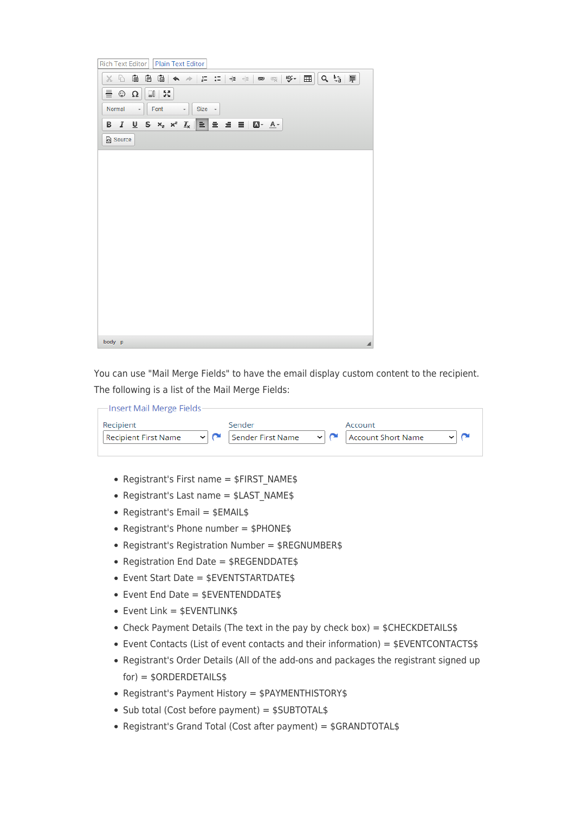| <b>Rich Text Editor</b><br>Plain Text Editor                                                   |                  |
|------------------------------------------------------------------------------------------------|------------------|
| (è<br>G<br>$X$ D                                                                               | $\sigma \approx$ |
| ≣ ☺<br>IJ<br>$\frac{53}{22}$<br>$\Omega$                                                       |                  |
| Normal<br>Font<br>Size +<br>$\scriptstyle\star$<br>$\overline{\phantom{a}}$                    |                  |
| $\underline{\mathsf{U}}$ 5 $x$ <sub>2</sub> $x$ <sup>2</sup> $\underline{\mathsf{I}}_x$<br>B I |                  |
| Source                                                                                         |                  |
|                                                                                                |                  |
|                                                                                                |                  |
|                                                                                                |                  |
|                                                                                                |                  |
|                                                                                                |                  |
|                                                                                                |                  |
|                                                                                                |                  |
|                                                                                                |                  |
|                                                                                                |                  |
|                                                                                                |                  |
|                                                                                                |                  |
|                                                                                                |                  |
| body p                                                                                         | ◢                |

You can use "Mail Merge Fields" to have the email display custom content to the recipient. The following is a list of the Mail Merge Fields:

| -Insert Mail Merge Fields-  |                                 |                                      |
|-----------------------------|---------------------------------|--------------------------------------|
| Recipient                   | Sender                          | Account                              |
| <b>Recipient First Name</b> | $\vee$ $\sim$ Sender First Name | $\vee$   $\cap$   Account Short Name |

- Registrant's First name =  $$FIRST NAME$$
- Registrant's Last name  $=$  \$LAST\_NAME\$
- Registrant's Email =  $$EMAIL$$
- Registrant's Phone number =  $$PHONES$
- Registrant's Registration Number = \$REGNUMBER\$
- Registration End Date =  $$REGENDDATES$
- Event Start Date = \$EVENTSTARTDATE\$
- Event End Date = \$EVENTENDDATE\$
- $\bullet$  Event Link = \$EVENTLINK\$
- Check Payment Details (The text in the pay by check box) =  $$CHECKDETAILS$$
- Event Contacts (List of event contacts and their information) = \$EVENTCONTACTS\$
- Registrant's Order Details (All of the add-ons and packages the registrant signed up for) = \$ORDERDETAILS\$
- Registrant's Payment History = \$PAYMENTHISTORY\$
- $\bullet$  Sub total (Cost before payment) = \$SUBTOTAL\$
- Registrant's Grand Total (Cost after payment) = \$GRANDTOTAL\$